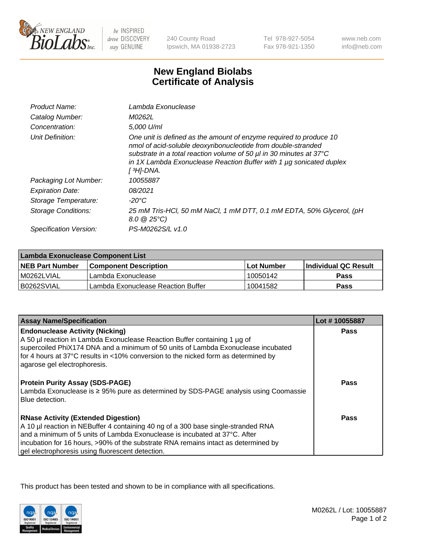

be INSPIRED drive DISCOVERY stay GENUINE

240 County Road Ipswich, MA 01938-2723

Tel 978-927-5054 Fax 978-921-1350

www.neb.com info@neb.com

## **New England Biolabs Certificate of Analysis**

| Product Name:           | Lambda Exonuclease                                                                                                                                                                                                                                                                                   |  |  |
|-------------------------|------------------------------------------------------------------------------------------------------------------------------------------------------------------------------------------------------------------------------------------------------------------------------------------------------|--|--|
| Catalog Number:         | M0262L                                                                                                                                                                                                                                                                                               |  |  |
| Concentration:          | 5,000 U/ml                                                                                                                                                                                                                                                                                           |  |  |
| Unit Definition:        | One unit is defined as the amount of enzyme required to produce 10<br>nmol of acid-soluble deoxyribonucleotide from double-stranded<br>substrate in a total reaction volume of 50 µl in 30 minutes at 37°C<br>in 1X Lambda Exonuclease Reaction Buffer with 1 $\mu$ g sonicated duplex<br>[ 3H]-DNA. |  |  |
| Packaging Lot Number:   | 10055887                                                                                                                                                                                                                                                                                             |  |  |
| <b>Expiration Date:</b> | 08/2021                                                                                                                                                                                                                                                                                              |  |  |
| Storage Temperature:    | $-20^{\circ}$ C                                                                                                                                                                                                                                                                                      |  |  |
| Storage Conditions:     | 25 mM Tris-HCl, 50 mM NaCl, 1 mM DTT, 0.1 mM EDTA, 50% Glycerol, (pH<br>$8.0 \ @ 25^{\circ}C$                                                                                                                                                                                                        |  |  |
| Specification Version:  | PS-M0262S/L v1.0                                                                                                                                                                                                                                                                                     |  |  |

| Lambda Exonuclease Component List |                                    |                   |                             |  |
|-----------------------------------|------------------------------------|-------------------|-----------------------------|--|
| <b>NEB Part Number</b>            | <b>Component Description</b>       | <b>Lot Number</b> | <b>Individual QC Result</b> |  |
| IM0262LVIAL                       | Lambda Exonuclease                 | 10050142          | <b>Pass</b>                 |  |
| IB0262SVIAL                       | Lambda Exonuclease Reaction Buffer | 10041582          | Pass                        |  |

| Lot #10055887 |
|---------------|
| <b>Pass</b>   |
|               |
|               |
|               |
|               |
| Pass          |
| Pass          |
|               |
|               |
|               |
|               |

This product has been tested and shown to be in compliance with all specifications.